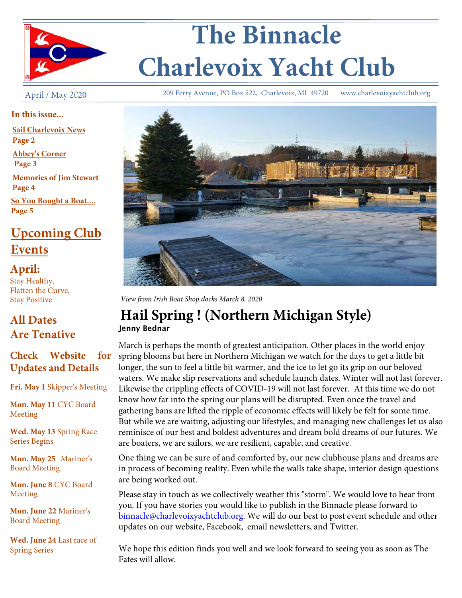

# **The Binnacle Charlevoix Yacht Club**

April / May 2020

**In this issue...**

**Sail Charlevoix News**

**Page 2**

**Abbey's Corner Page 3**

**Memories of Jim Stewart Page 4**

**So You Bought a Boat.... Page 5**

# **Upcoming Club Events**

**April:**  Stay Healthy, Flatten the Curve, Stay Positive

# **All Dates Are Tenative**

# **Check Website for Updates and Details**

**Fri. May 1** Skipper's Meeting

**Mon. May 11** CYC Board Meeting

**Wed. May 13** Spring Race Series Begins

**Mon. May 25** Mariner's Board Meeting

**Mon. June 8** CYC Board Meeting

**Mon. June 22** Mariner's Board Meeting

**Wed. June 24** Last race of Spring Series

209 Ferry Avenue, PO Box 522, Charlevoix, MI 49720 www.charlevoixyachtclub.org



*View from Irish Boat Shop docks March 8, 2020*

# **Hail Spring ! (Northern Michigan Style)** Jenny Bednar

March is perhaps the month of greatest anticipation. Other places in the world enjoy spring blooms but here in Northern Michigan we watch for the days to get a little bit longer, the sun to feel a little bit warmer, and the ice to let go its grip on our beloved waters. We make slip reservations and schedule launch dates. Winter will not last forever. Likewise the crippling effects of COVID-19 will not last forever. At this time we do not know how far into the spring our plans will be disrupted. Even once the travel and gathering bans are lifted the ripple of economic effects will likely be felt for some time. But while we are waiting, adjusting our lifestyles, and managing new challenges let us also reminisce of our best and boldest adventures and dream bold dreams of our futures. We are boaters, we are sailors, we are resilient, capable, and creative.

One thing we can be sure of and comforted by, our new clubhouse plans and dreams are in process of becoming reality. Even while the walls take shape, interior design questions are being worked out.

Please stay in touch as we collectively weather this "storm". We would love to hear from you. If you have stories you would like to publish in the Binnacle please forward to binnacle@charlevoixyachtclub.org. We will do our best to post event schedule and other updates on our website, Facebook, email newsletters, and Twitter.

We hope this edition finds you well and we look forward to seeing you as soon as The Fates will allow.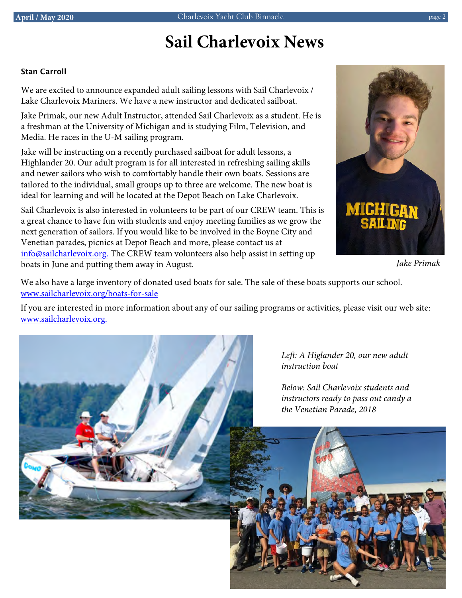# *Elevations* **Sail Charlevoix News**

### Stan Carroll

We are excited to announce expanded adult sailing lessons with Sail Charlevoix / Lake Charlevoix Mariners. We have a new instructor and dedicated sailboat.

Jake Primak, our new Adult Instructor, attended Sail Charlevoix as a student. He is a freshman at the University of Michigan and is studying Film, Television, and Media. He races in the U-M sailing program.

Jake will be instructing on a recently purchased sailboat for adult lessons, a Highlander 20. Our adult program is for all interested in refreshing sailing skills and newer sailors who wish to comfortably handle their own boats. Sessions are tailored to the individual, small groups up to three are welcome. The new boat is ideal for learning and will be located at the Depot Beach on Lake Charlevoix.

Venetian parades, picnics at Depot Beach and more, please contact us at Sail Charlevoix is also interested in volunteers to be part of our CREW team. This is a great chance to have fun with students and enjoy meeting families as we grow the next generation of sailors. If you would like to be involved in the Boyne City and info@sailcharlevoix.org. The CREW team volunteers also help assist in setting up boats in June and putting them away in August.



*Jake Primak*

We also have a large inventory of donated used boats for sale. The sale of these boats supports our school. www.sailcharlevoix.org/boats-for-sale

If you are interested in more information about any of our sailing programs or activities, please visit our web site: www.sailcharlevoix.org.



*Left: A Higlander 20, our new adult instruction boat*

*Below: Sail Charlevoix students and instructors ready to pass out candy a the Venetian Parade, 2018*

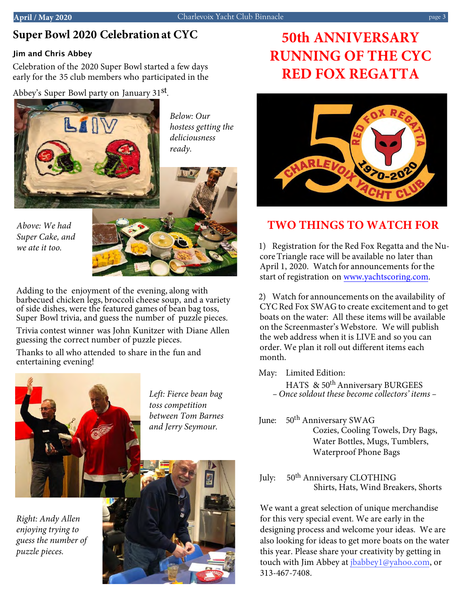# *Lakeside/Dockside* **Super Bowl 2020 Celebration at CYC**

## Jim and Chris Abbey

Celebration of the 2020 Super Bowl started a few days early for the 35 club members who participated in the

Abbey's Super Bowl party on January 31st.



*Below: Our hostess getting the deliciousness* 

*Above: We had Super Cake, and we ate it too.* 



Adding to the enjoyment of the evening, along with barbecued chicken legs, broccoli cheese soup, and a variety of side dishes, were the featured games of bean bag toss, Super Bowl trivia, and guess the number of puzzle pieces.

Trivia contest winner was John Kunitzer with Diane Allen guessing the correct number of puzzle pieces.

Thanks to all who attended to share in the fun and entertaining evening!



*Left: Fierce bean bag toss competition between Tom Barnes and Jerry Seymour.* 

*Right: Andy Allen enjoying trying to guess the number of puzzle pieces.* 



# **50th ANNIVERSARY RUNNING OF THE CYC RED FOX REGATTA**



# **TWO THINGS TO WATCH FOR**

1) Registration for the Red Fox Regatta and the Nucore Triangle race will be available no later than April 1, 2020. Watch for announcements for the start of registration on www.yachtscoring.com.

2) Watch for announcements on the availability of CYC Red Fox SWAG to create excitement and to get boats on the water: All these items will be available on the Screenmaster's Webstore. We will publish the web address when it is LIVE and so you can order. We plan it roll out different items each month.

May: Limited Edition:

- HATS & 50<sup>th</sup> Anniversary BURGEES *– Once soldout these become collectors' items –*
- June: 50<sup>th</sup> Anniversary SWAG Cozies, Cooling Towels, Dry Bags, Water Bottles, Mugs, Tumblers, Waterproof Phone Bags
- July: 50<sup>th</sup> Anniversary CLOTHING Shirts, Hats, Wind Breakers, Shorts

We want a great selection of unique merchandise for this very special event. We are early in the designing process and welcome your ideas. We are also looking for ideas to get more boats on the water this year. Please share your creativity by getting in touch with Jim Abbey at jbabbey1@yahoo.com, or 313-467-7408.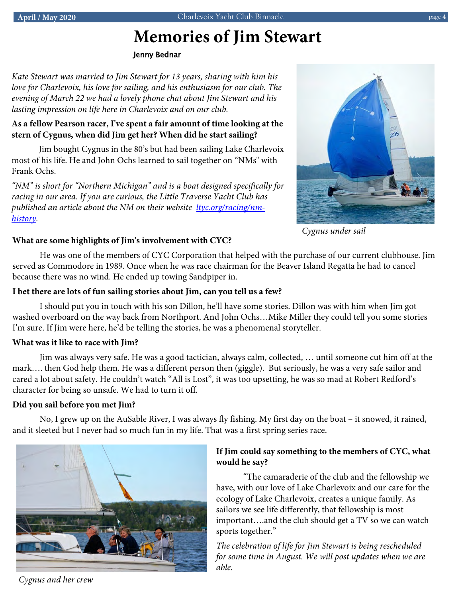#### page 4

# **Memories of Jim Stewart**

Jenny Bednar

*Kate Stewart was married to Jim Stewart for 13 years, sharing with him his love for Charlevoix, his love for sailing, and his enthusiasm for our club. The evening of March 22 we had a lovely phone chat about Jim Stewart and his lasting impression on life here in Charlevoix and on our club.*

### **As a fellow Pearson racer, I've spent a fair amount of time looking at the stern of Cygnus, when did Jim get her? When did he start sailing?**

Jim bought Cygnus in the 80's but had been sailing Lake Charlevoix most of his life. He and John Ochs learned to sail together on "NMs" with Frank Ochs.

*"NM" is short for "Northern Michigan" and is a boat designed specifically for racing in our area. If you are curious, the Little Traverse Yacht Club has published an article about the NM on their website ltyc.org/racing/nmhistory.* 



*Cygnus under sail*

### *Streetside* **What are some highlights of Jim's involvement with CYC?**

He was one of the members of CYC Corporation that helped with the purchase of our current clubhouse. Jim served as Commodore in 1989. Once when he was race chairman for the Beaver Island Regatta he had to cancel because there was no wind. He ended up towing Sandpiper in.

### **I bet there are lots of fun sailing stories about Jim, can you tell us a few?**

I should put you in touch with his son Dillon, he'll have some stories. Dillon was with him when Jim got washed overboard on the way back from Northport. And John Ochs…Mike Miller they could tell you some stories I'm sure. If Jim were here, he'd be telling the stories, he was a phenomenal storyteller.

### **What was it like to race with Jim?**

Jim was always very safe. He was a good tactician, always calm, collected, … until someone cut him off at the mark…. then God help them. He was a different person then (giggle). But seriously, he was a very safe sailor and cared a lot about safety. He couldn't watch "All is Lost", it was too upsetting, he was so mad at Robert Redford's character for being so unsafe. We had to turn it off.

### **Did you sail before you met Jim?**

No, I grew up on the AuSable River, I was always fly fishing. My first day on the boat – it snowed, it rained, and it sleeted but I never had so much fun in my life. That was a first spring series race.



### **If Jim could say something to the members of CYC, what would he say?**

"The camaraderie of the club and the fellowship we have, with our love of Lake Charlevoix and our care for the ecology of Lake Charlevoix, creates a unique family. As sailors we see life differently, that fellowship is most important….and the club should get a TV so we can watch sports together."

*The celebration of life for Jim Stewart is being rescheduled for some time in August. We will post updates when we are able.* 

*Cygnus and her crew*